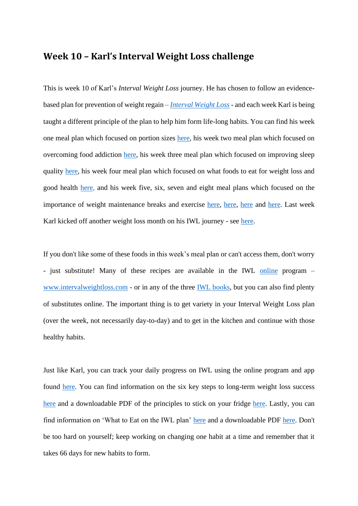# **Week 10 – Karl's Interval Weight Loss challenge**

This is week 10 of Karl's *Interval Weight Loss* journey. He has chosen to follow an evidencebased plan for prevention of weight regain – *[Interval Weight Loss](https://intervalweightloss.com.au/)* - and each week Karl is being taught a different principle of the plan to help him form life-long habits. You can find his week one meal plan which focused on portion sizes [here,](https://9now.nine.com.au/today/karl-stefanovic-weight-loss-challenge-today-host-weighs-himself-on-air/36788c11-b60f-4796-a4a6-280a5c9165f0) his week two meal plan which focused on overcoming food addiction [here,](https://prod.static9.net.au/fs/4e5d4d23-5cff-4fb7-80fe-26a9eef50654) his week three meal plan which focused on improving sleep quality [here,](https://prod.static9.net.au/fs/1e3e7aa1-768b-4a81-a9c3-7af85888557c) his week four meal plan which focused on what foods to eat for weight loss and good health [here,](https://prod.static9.net.au/fs/19e3ed33-d00d-495c-b4ee-760d3d987d9c) and his week five, six, seven and eight meal plans which focused on the importance of weight maintenance breaks and exercise [here,](https://prod.static9.net.au/fs/eee0f8b4-1e0d-49b9-9c0c-36d04b18d3d6) [here](https://prod.static9.net.au/fs/436c5d7f-0ebb-4cae-80be-d50380064914), here and [here.](https://prod.static9.net.au/fs/bb3b3def-3212-462d-bc2a-7f16d5357fcf) Last week Karl kicked off another weight loss month on his IWL journey - see [here.](https://prod.static9.net.au/fs/c13e493a-6d7e-4628-be55-2fcc41238b47)

If you don't like some of these foods in this week's meal plan or can't access them, don't worry - just substitute! Many of these recipes are available in the IWL [online](https://intervalweightloss.com/) program – [www.intervalweightloss.com](http://www.intervalweightloss.com/) - or in any of the three [IWL books,](http://www.intervalweightloss.com.au/) but you can also find plenty of substitutes online. The important thing is to get variety in your Interval Weight Loss plan (over the week, not necessarily day-to-day) and to get in the kitchen and continue with those healthy habits.

Just like Karl, you can track your daily progress on IWL using the online program and app found [here.](https://intervalweightloss.com/) You can find information on the six key steps to long-term weight loss success [here](https://www.youtube.com/watch?v=yISeUR6UDAI&list=PL-ut39K0QUW0A81p_FyAvg5AYFQnS2rjI) and a downloadable PDF of the principles to stick on your fridge [here.](https://static1.squarespace.com/static/597aa1384c0dbfd2a9175d57/t/5e1bdb213ff3900c139df8a0/1578883878724/Six-Principles-Print.pdf) Lastly, you can find information on 'What to Eat on the IWL plan' [here](https://www.youtube.com/watch?v=Ru_YiyHTRPA&list=PL-ut39K0QUW0A81p_FyAvg5AYFQnS2rjI&index=6&t=0s) and a downloadable PDF [here.](https://static1.squarespace.com/static/597aa1384c0dbfd2a9175d57/t/5e26a18fa29f9d6b4e6e2bbc/1579590072870/What+to+eat+on+IWL.pdf) Don't be too hard on yourself; keep working on changing one habit at a time and remember that it takes 66 days for new habits to form.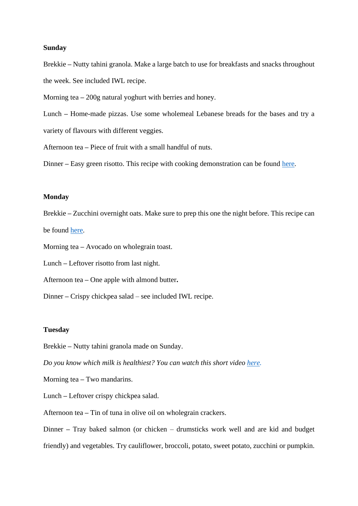#### **Sunday**

Brekkie **–** Nutty tahini granola. Make a large batch to use for breakfasts and snacks throughout the week. See included IWL recipe.

Morning tea **–** 200g natural yoghurt with berries and honey.

Lunch **–** Home-made pizzas. Use some wholemeal Lebanese breads for the bases and try a variety of flavours with different veggies.

Afternoon tea **–** Piece of fruit with a small handful of nuts.

Dinner – Easy green risotto. This recipe with cooking demonstration can be found [here.](https://www.youtube.com/watch?v=NY1aDwtHCoE&list=PL-ut39K0QUW2ImUlvO1IRh1fGj7J5KrL7&index=6&t=0s)

#### **Monday**

Brekkie **–** Zucchini overnight oats. Make sure to prep this one the night before. This recipe can be found [here.](https://www.youtube.com/watch?v=f4nZY5e8Cuo&list=PL-ut39K0QUW2ImUlvO1IRh1fGj7J5KrL7&index=2)

Morning tea **–** Avocado on wholegrain toast.

Lunch **–** Leftover risotto from last night.

Afternoon tea **–** One apple with almond butter**.**

Dinner **–** Crispy chickpea salad – see included IWL recipe.

#### **Tuesday**

Brekkie **–** Nutty tahini granola made on Sunday.

*Do you know which milk is healthiest? You can watch this short video [here.](https://www.youtube.com/watch?v=UuoF4PSwSAc)*

Morning tea **–** Two mandarins.

Lunch **–** Leftover crispy chickpea salad.

Afternoon tea **–** Tin of tuna in olive oil on wholegrain crackers.

Dinner **–** Tray baked salmon (or chicken – drumsticks work well and are kid and budget friendly) and vegetables. Try cauliflower, broccoli, potato, sweet potato, zucchini or pumpkin.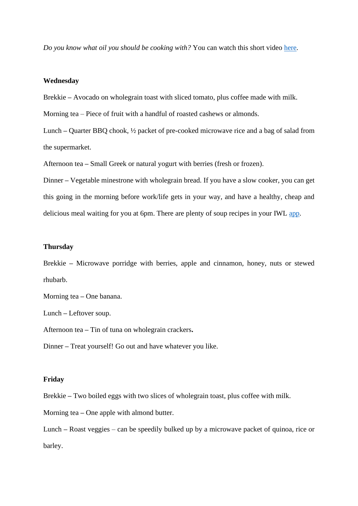*Do you know what oil you should be cooking with?* You can watch this short video [here.](https://www.youtube.com/watch?v=2loWCWB6zow&list=PL-ut39K0QUW0A81p_FyAvg5AYFQnS2rjI&index=6)

#### **Wednesday**

Brekkie **–** Avocado on wholegrain toast with sliced tomato, plus coffee made with milk.

Morning tea – Piece of fruit with a handful of roasted cashews or almonds.

Lunch **–** Quarter BBQ chook, ½ packet of pre-cooked microwave rice and a bag of salad from the supermarket.

Afternoon tea **–** Small Greek or natural yogurt with berries (fresh or frozen).

Dinner **–** Vegetable minestrone with wholegrain bread. If you have a slow cooker, you can get this going in the morning before work/life gets in your way, and have a healthy, cheap and delicious meal waiting for you at 6pm. There are plenty of soup recipes in your IWL [app.](https://intervalweightloss.com/)

### **Thursday**

Brekkie **–** Microwave porridge with berries, apple and cinnamon, honey, nuts or stewed rhubarb.

Morning tea **–** One banana.

Lunch **–** Leftover soup.

Afternoon tea **–** Tin of tuna on wholegrain crackers**.**

Dinner **–** Treat yourself! Go out and have whatever you like.

#### **Friday**

Brekkie **–** Two boiled eggs with two slices of wholegrain toast, plus coffee with milk.

Morning tea **–** One apple with almond butter.

Lunch **–** Roast veggies – can be speedily bulked up by a microwave packet of quinoa, rice or barley.